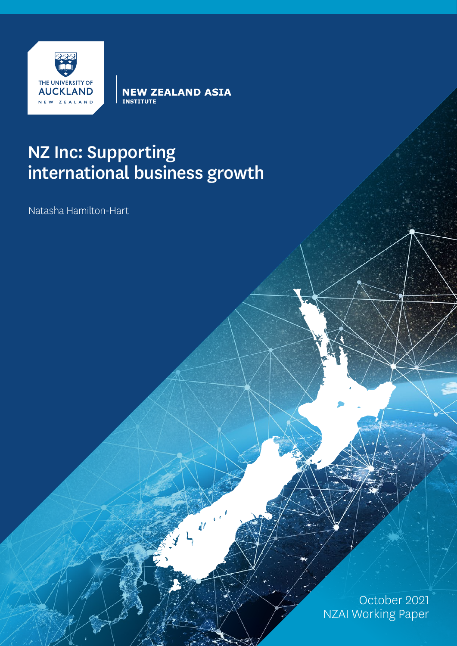

**NEW ZEALAND ASIA**<br>INSTITUTE

# NZ Inc: Supporting international business growth

Natasha Hamilton-Hart

October 2021 NZAI Working Paper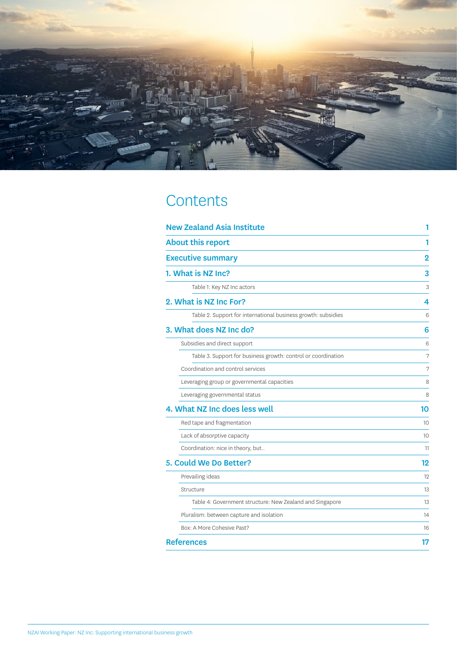

# **Contents**

| <b>New Zealand Asia Institute</b>                             |                |
|---------------------------------------------------------------|----------------|
| <b>About this report</b>                                      | 1              |
| <b>Executive summary</b>                                      | $\overline{2}$ |
| 1. What is NZ Inc?                                            | 3              |
| Table 1: Key NZ Inc actors                                    | 3              |
| 2. What is NZ Inc For?                                        | 4              |
| Table 2. Support for international business growth: subsidies | 6              |
| 3. What does NZ Inc do?                                       | 6              |
| Subsidies and direct support                                  | 6              |
| Table 3. Support for business growth: control or coordination | 7              |
| Coordination and control services                             | 7              |
| Leveraging group or governmental capacities                   | 8              |
| Leveraging governmental status                                | 8              |
| 4. What NZ Inc does less well                                 | 10             |
| Red tape and fragmentation                                    | 10             |
| Lack of absorptive capacity                                   | 10             |
| Coordination: nice in theory, but                             | 11             |
| 5. Could We Do Better?                                        | 12             |
| Prevailing ideas                                              | 12             |
| Structure                                                     | 13             |
| Table 4: Government structure: New Zealand and Singapore      | 13             |
| Pluralism: between capture and isolation                      | 14             |
| Box: A More Cohesive Past?                                    | 16             |
| <b>References</b>                                             | 17             |
|                                                               |                |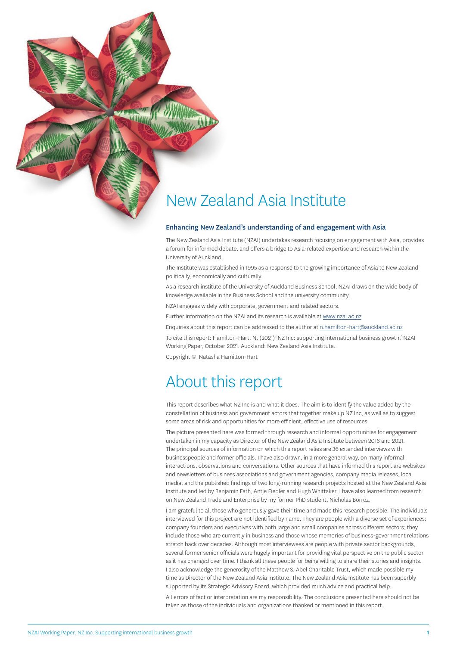## <span id="page-2-0"></span>New Zealand Asia Institute

#### Enhancing New Zealand's understanding of and engagement with Asia

The New Zealand Asia Institute (NZAI) undertakes research focusing on engagement with Asia, provides a forum for informed debate, and offers a bridge to Asia-related expertise and research within the University of Auckland.

The Institute was established in 1995 as a response to the growing importance of Asia to New Zealand politically, economically and culturally.

As a research institute of the University of Auckland Business School, NZAI draws on the wide body of knowledge available in the Business School and the university community.

NZAI engages widely with corporate, government and related sectors.

Further information on the NZAI and its research is available at [www.nzai.ac.nz](http://www.nzai.ac.nz)

Enquiries about this report can be addressed to the author at [n.hamilton-hart@auckland.ac.nz](mailto:n.hamilton-hart@auckland.ac.nz)

To cite this report: Hamilton-Hart, N. (2021) 'NZ Inc: supporting international business growth.' NZAI Working Paper, October 2021. Auckland: New Zealand Asia Institute.

Copyright © Natasha Hamilton-Hart

## About this report

This report describes what NZ Inc is and what it does. The aim is to identify the value added by the constellation of business and government actors that together make up NZ Inc, as well as to suggest some areas of risk and opportunities for more efficient, effective use of resources.

The picture presented here was formed through research and informal opportunities for engagement undertaken in my capacity as Director of the New Zealand Asia Institute between 2016 and 2021. The principal sources of information on which this report relies are 36 extended interviews with businesspeople and former officials. I have also drawn, in a more general way, on many informal interactions, observations and conversations. Other sources that have informed this report are websites and newsletters of business associations and government agencies, company media releases, local media, and the published findings of two long-running research projects hosted at the New Zealand Asia Institute and led by Benjamin Fath, Antje Fiedler and Hugh Whittaker. I have also learned from research on New Zealand Trade and Enterprise by my former PhD student, Nicholas Borroz.

I am grateful to all those who generously gave their time and made this research possible. The individuals interviewed for this project are not identified by name. They are people with a diverse set of experiences: company founders and executives with both large and small companies across different sectors; they include those who are currently in business and those whose memories of business-government relations stretch back over decades. Although most interviewees are people with private sector backgrounds, several former senior officials were hugely important for providing vital perspective on the public sector as it has changed over time. I thank all these people for being willing to share their stories and insights. I also acknowledge the generosity of the Matthew S. Abel Charitable Trust, which made possible my time as Director of the New Zealand Asia Institute. The New Zealand Asia Institute has been superbly supported by its Strategic Advisory Board, which provided much advice and practical help.

All errors of fact or interpretation are my responsibility. The conclusions presented here should not be taken as those of the individuals and organizations thanked or mentioned in this report.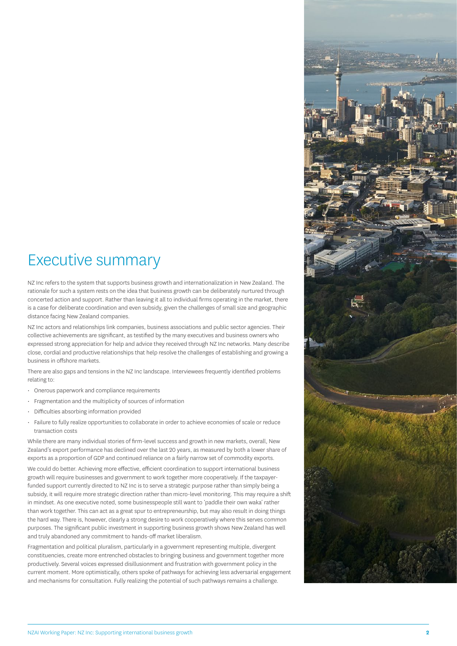## <span id="page-3-0"></span>Executive summary

NZ Inc refers to the system that supports business growth and internationalization in New Zealand. The rationale for such a system rests on the idea that business growth can be deliberately nurtured through concerted action and support. Rather than leaving it all to individual firms operating in the market, there is a case for deliberate coordination and even subsidy, given the challenges of small size and geographic distance facing New Zealand companies.

NZ Inc actors and relationships link companies, business associations and public sector agencies. Their collective achievements are significant, as testified by the many executives and business owners who expressed strong appreciation for help and advice they received through NZ Inc networks. Many describe close, cordial and productive relationships that help resolve the challenges of establishing and growing a business in offshore markets.

There are also gaps and tensions in the NZ Inc landscape. Interviewees frequently identified problems relating to:

- Onerous paperwork and compliance requirements
- Fragmentation and the multiplicity of sources of information
- Difficulties absorbing information provided
- Failure to fully realize opportunities to collaborate in order to achieve economies of scale or reduce transaction costs

While there are many individual stories of firm-level success and growth in new markets, overall, New Zealand's export performance has declined over the last 20 years, as measured by both a lower share of exports as a proportion of GDP and continued reliance on a fairly narrow set of commodity exports.

We could do better. Achieving more effective, efficient coordination to support international business growth will require businesses and government to work together more cooperatively. If the taxpayerfunded support currently directed to NZ Inc is to serve a strategic purpose rather than simply being a subsidy, it will require more strategic direction rather than micro-level monitoring. This may require a shift in mindset. As one executive noted, some businesspeople still want to 'paddle their own waka' rather than work together. This can act as a great spur to entrepreneurship, but may also result in doing things the hard way. There is, however, clearly a strong desire to work cooperatively where this serves common purposes. The significant public investment in supporting business growth shows New Zealand has well and truly abandoned any commitment to hands-off market liberalism.

Fragmentation and political pluralism, particularly in a government representing multiple, divergent constituencies, create more entrenched obstacles to bringing business and government together more productively. Several voices expressed disillusionment and frustration with government policy in the current moment. More optimistically, others spoke of pathways for achieving less adversarial engagement and mechanisms for consultation. Fully realizing the potential of such pathways remains a challenge.

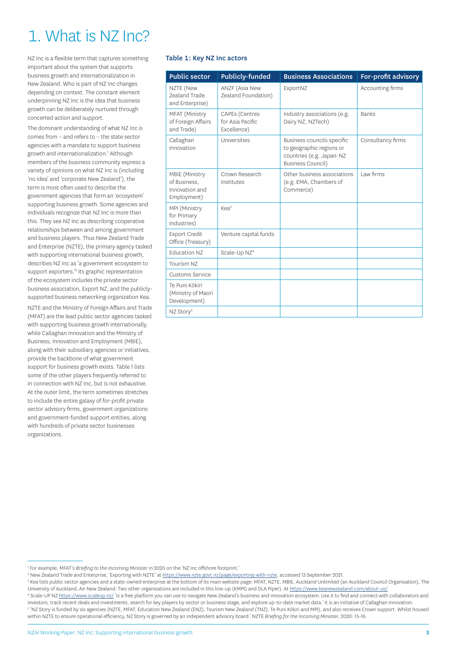# <span id="page-4-0"></span>1. What is NZ Inc?

NZ Inc is a flexible term that captures something important about the system that supports business growth and internationalization in New Zealand. Who is part of NZ Inc changes depending on context. The constant element underpinning NZ Inc is the idea that business growth can be deliberately nurtured through concerted action and support.

The dominant understanding of what NZ Inc is comes from – and refers to – the state sector agencies with a mandate to support business growth and internationalization.1 Although members of the business community express a variety of opinions on what NZ Inc is (including 'no idea' and 'corporate New Zealand'), the term is most often used to describe the government agencies that form an 'ecosystem' supporting business growth. Some agencies and individuals recognize that NZ Inc is more than this. They see NZ Inc as describing cooperative relationships between and among government and business players. Thus New Zealand Trade and Enterprise (NZTE), the primary agency tasked with supporting international business growth, describes NZ Inc as 'a government ecosystem to support exporters.<sup>2</sup> Its graphic representation of the ecosystem includes the private sector business association, Export NZ, and the publiclysupported business networking organization Kea.

NZTE and the Ministry of Foreign Affairs and Trade (MFAT) are the lead public sector agencies tasked with supporting business growth internationally, while Callaghan Innovation and the Ministry of Business, Innovation and Employment (MBIE), along with their subsidiary agencies or initiatives, provide the backbone of what government support for business growth exists. Table 1 lists some of the other players frequently referred to in connection with NZ Inc, but is not exhaustive. At the outer limit, the term sometimes stretches to include the entire galaxy of for-profit private sector advisory firms, government organizations and government-funded support entities, along with hundreds of private sector businesses organizations.

#### Table 1: Key NZ Inc actors

| <b>Public sector</b>                                            | <b>Publicly-funded</b>                                   | <b>Business Associations</b>                                                                                   | For-profit advisory |
|-----------------------------------------------------------------|----------------------------------------------------------|----------------------------------------------------------------------------------------------------------------|---------------------|
| NZTE (New<br><b>Zealand Trade</b><br>and Enterprise)            | ANZF (Asia New<br>Zealand Foundation)                    | ExportNZ                                                                                                       | Accounting firms    |
| MFAT (Ministry<br>of Foreign Affairs<br>and Trade)              | <b>CAPEs</b> (Centres<br>for Asia Pacific<br>Excellence) | Industry associations (e.g.<br>Dairy NZ, NZTech)                                                               | <b>Banks</b>        |
| Callaghan<br>Innovation                                         | Universities                                             | Business councils specific<br>to geographic regions or<br>countries (e.g. Japan-NZ<br><b>Business Council)</b> | Consultancy firms   |
| MBIE (Ministry<br>of Business.<br>Innovation and<br>Employment) | Crown Research<br>Institutes                             | Other business associations<br>(e.g. EMA, Chambers of<br>Commerce)                                             | Law firms           |
| MPI (Ministry<br>for Primary<br>Industries)                     | Kea <sup>3</sup>                                         |                                                                                                                |                     |
| <b>Export Credit</b><br>Office (Treasury)                       | Venture capital funds                                    |                                                                                                                |                     |
| <b>Education NZ</b>                                             | Scale-Up NZ <sup>4</sup>                                 |                                                                                                                |                     |
| Tourism NZ                                                      |                                                          |                                                                                                                |                     |
| Customs Service                                                 |                                                          |                                                                                                                |                     |
| Te Puni Kōkiri<br>(Ministry of Maori<br>Development)            |                                                          |                                                                                                                |                     |
| NZ Story <sup>5</sup>                                           |                                                          |                                                                                                                |                     |

<sup>2</sup> New Zealand Trade and Enterprise, 'Exporting with NZTE' at <u><https://www.nzte.govt.nz/page/exporting-with-nzte>,</u> accessed 13 September 2021.

<sup>3</sup> Kea lists public sector agencies and a state-owned enterprise at the bottom of its main website page: MFAT, NZTE, MBIE, Auckland Unlimited (an Auckland Council Organisation), The University of Auckland, Air New Zealand. Two other organisations are included in this line-up (KMPG and DLA Piper). At <https://www.keanewzealand.com/about-us/>

<sup>4</sup> Scale-UP NZ <https://www.scaleup.nz/> 'is a free platform you can use to navigate New Zealand's business and innovation ecosystem. Use it to find and connect with collaborators and investors, track recent deals and investments, search for key players by sector or business stage, and explore up-to-date market data.' It is an initiative of Callaghan Innovation.

5 'NZ Story is funded by six agencies (NZTE, MFAT, Education New Zealand (ENZ), Tourism New Zealand (TNZ), Te Puni Kōkiri and MPI), and also receives Crown support. Whilst housed within NZTE to ensure operational efficiency, NZ Story is governed by an independent advisory board.' NZTE *Briefing for the Incoming Minister*, 2020: 15-16.

<sup>1</sup> For example, MFAT's *Briefing to the Incoming Minister* in 2020 on the 'NZ Inc offshore footprint.'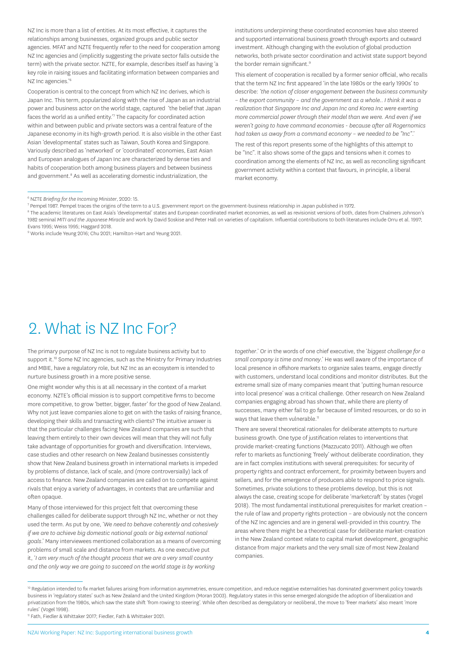<span id="page-5-0"></span>NZ Inc is more than a list of entities. At its most effective, it captures the relationships among businesses, organized groups and public sector agencies. MFAT and NZTE frequently refer to the need for cooperation among NZ Inc agencies and (implicitly suggesting the private sector falls outside the term) with the private sector. NZTE, for example, describes itself as having 'a key role in raising issues and facilitating information between companies and NZ Inc agencies.'<sup>6</sup>

Cooperation is central to the concept from which NZ Inc derives, which is Japan Inc. This term, popularized along with the rise of Japan as an industrial power and business actor on the world stage, captured 'the belief that Japan faces the world as a unified entity.'7 The capacity for coordinated action within and between public and private sectors was a central feature of the Japanese economy in its high-growth period. It is also visible in the other East Asian 'developmental' states such as Taiwan, South Korea and Singapore. Variously described as 'networked' or 'coordinated' economies, East Asian and European analogues of Japan Inc are characterized by dense ties and habits of cooperation both among business players and between business and government.<sup>8</sup> As well as accelerating domestic industrialization, the

institutions underpinning these coordinated economies have also steered and supported international business growth through exports and outward investment. Although changing with the evolution of global production networks, both private sector coordination and activist state support beyond the border remain significant.<sup>9</sup>

This element of cooperation is recalled by a former senior official, who recalls that the term NZ Inc first appeared 'in the late 1980s or the early 1990s' to describe: *'the notion of closer engagement between the business community – the export community – and the government as a whole.. I think it was a realization that Singapore Inc and Japan Inc and Korea Inc were exerting more commercial power through their model than we were. And even if we weren't going to have command economies - because after all Rogernomics had taken us away from a command economy – we needed to be "Inc"*.'

The rest of this report presents some of the highlights of this attempt to be "Inc". It also shows some of the gaps and tensions when it comes to coordination among the elements of NZ Inc, as well as reconciling significant government activity within a context that favours, in principle, a liberal market economy.

## 2. What is NZ Inc For?

The primary purpose of NZ Inc is not to regulate business activity but to support it.<sup>10</sup> Some NZ Inc agencies, such as the Ministry for Primary Industries and MBIE, have a regulatory role, but NZ Inc as an ecosystem is intended to nurture business growth in a more positive sense.

One might wonder why this is at all necessary in the context of a market economy. NZTE's official mission is to support competitive firms to become more competitive, to grow 'better, bigger, faster' for the good of New Zealand. Why not just leave companies alone to get on with the tasks of raising finance, developing their skills and transacting with clients? The intuitive answer is that the particular challenges facing New Zealand companies are such that leaving them entirely to their own devices will mean that they will not fully take advantage of opportunities for growth and diversification. Interviews, case studies and other research on New Zealand businesses consistently show that New Zealand business growth in international markets is impeded by problems of distance, lack of scale, and (more controversially) lack of access to finance. New Zealand companies are called on to compete against rivals that enjoy a variety of advantages, in contexts that are unfamiliar and often opaque.

Many of those interviewed for this project felt that overcoming these challenges called for deliberate support through NZ Inc, whether or not they used the term. As put by one, '*We need to behave coherently and cohesively if we are to achieve big domestic national goals or big external national goals*.' Many interviewees mentioned collaboration as a means of overcoming problems of small scale and distance from markets. As one executive put it, '*I am very much of the thought process that we are a very small country and the only way we are going to succeed on the world stage is by working* 

*together*.' Or in the words of one chief executive, the '*biggest challenge for a small company is time and money*.' He was well aware of the importance of local presence in offshore markets to organize sales teams, engage directly with customers, understand local conditions and monitor distributes. But the extreme small size of many companies meant that 'putting human resource into local presence' was a critical challenge. Other research on New Zealand companies engaging abroad has shown that, while there are plenty of successes, many either fail to go far because of limited resources, or do so in ways that leave them vulnerable.<sup>11</sup>

There are several theoretical rationales for deliberate attempts to nurture business growth. One type of justification relates to interventions that provide market-creating functions (Mazzucato 2011). Although we often refer to markets as functioning 'freely' without deliberate coordination, they are in fact complex institutions with several prerequisites: for security of property rights and contract enforcement, for proximity between buyers and sellers, and for the emergence of producers able to respond to price signals. Sometimes, private solutions to these problems develop, but this is not always the case, creating scope for deliberate 'marketcraft' by states (Vogel 2018). The most fundamental institutional prerequisites for market creation – the rule of law and property rights protection – are obviously not the concern of the NZ Inc agencies and are in general well-provided in this country. The areas where there might be a theoretical case for deliberate market-creation in the New Zealand context relate to capital market development, geographic distance from major markets and the very small size of most New Zealand companies.

<sup>6</sup> NZTE *Briefing for the Incoming Minister*, 2020: 15.

<sup>7</sup> Pempel 1987. Pempel traces the origins of the term to a U.S. government report on the government-business relationship in Japan published in 1972.

<sup>8</sup> The academic literatures on East Asia's 'developmental' states and European coordinated market economies, as well as revisionist versions of both, dates from Chalmers Johnson's 1982 seminal *MITI and the Japanese Miracle* and work by David Soskise and Peter Hall on varieties of capitalism. Influential contributions to both literatures include Orru et al. 1997; Evans 1995; Weiss 1995; Haggard 2018.

<sup>&</sup>lt;sup>9</sup> Works include Yeung 2016; Chu 2021; Hamilton-Hart and Yeung 2021.

<sup>&</sup>lt;sup>10</sup> Regulation intended to fix market failures arising from information asymmetries, ensure competition, and reduce negative externalities has dominated government policy towards business in 'regulatory states' such as New Zealand and the United Kingdom (Moran 2003). Regulatory states in this sense emerged alongside the adoption of liberalization and privatization from the 1980s, which saw the state shift 'from rowing to steering'. While often described as deregulatory or neoliberal, the move to 'freer markets' also meant 'more rules' (Vogel 1998).

<sup>11</sup> Fath, Fiedler & Whittaker 2017; Fiedler, Fath & Whittaker 2021.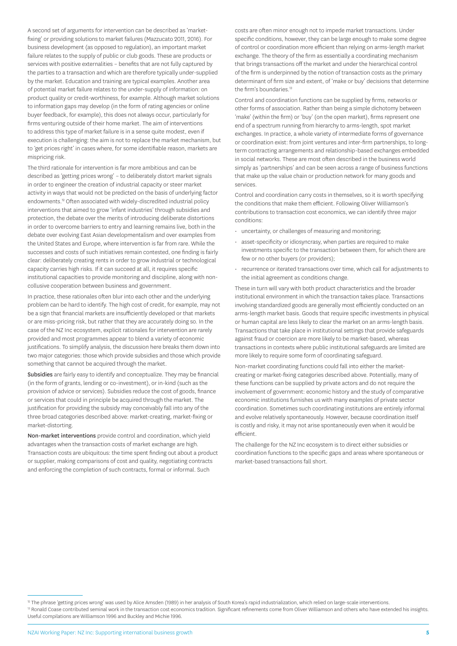A second set of arguments for intervention can be described as 'marketfixing' or providing solutions to market failures (Mazzucato 2011, 2016). For business development (as opposed to regulation), an important market failure relates to the supply of public or club goods. These are products or services with positive externalities – benefits that are not fully captured by the parties to a transaction and which are therefore typically under-supplied by the market. Education and training are typical examples. Another area of potential market failure relates to the under-supply of information: on product quality or credit-worthiness, for example. Although market solutions to information gaps may develop (in the form of rating agencies or online buyer feedback, for example), this does not always occur, particularly for firms venturing outside of their home market. The aim of interventions to address this type of market failure is in a sense quite modest, even if execution is challenging: the aim is not to replace the market mechanism, but to 'get prices right' in cases where, for some identifiable reason, markets are mispricing risk.

The third rationale for intervention is far more ambitious and can be described as 'getting prices wrong' – to deliberately distort market signals in order to engineer the creation of industrial capacity or steer market activity in ways that would not be predicted on the basis of underlying factor endowments.<sup>12</sup> Often associated with widely-discredited industrial policy interventions that aimed to grow 'infant industries' through subsidies and protection, the debate over the merits of introducing deliberate distortions in order to overcome barriers to entry and learning remains live, both in the debate over evolving East Asian developmentalism and over examples from the United States and Europe, where intervention is far from rare. While the successes and costs of such initiatives remain contested, one finding is fairly clear: deliberately creating rents in order to grow industrial or technological capacity carries high risks. If it can succeed at all, it requires specific institutional capacities to provide monitoring and discipline, along with noncollusive cooperation between business and government.

In practice, these rationales often blur into each other and the underlying problem can be hard to identify. The high cost of credit, for example, may not be a sign that financial markets are insufficiently developed or that markets or are miss-pricing risk, but rather that they are accurately doing so. In the case of the NZ Inc ecosystem, explicit rationales for intervention are rarely provided and most programmes appear to blend a variety of economic justifications. To simplify analysis, the discussion here breaks them down into two major categories: those which provide subsidies and those which provide something that cannot be acquired through the market.

Subsidies are fairly easy to identify and conceptualize. They may be financial (in the form of grants, lending or co-investment), or in-kind (such as the provision of advice or services). Subsidies reduce the cost of goods, finance or services that could in principle be acquired through the market. The justification for providing the subsidy may conceivably fall into any of the three broad categories described above: market-creating, market-fixing or market-distorting.

Non-market interventions provide control and coordination, which yield advantages when the transaction costs of market exchange are high. Transaction costs are ubiquitous: the time spent finding out about a product or supplier, making comparisons of cost and quality, negotiating contracts and enforcing the completion of such contracts, formal or informal. Such

costs are often minor enough not to impede market transactions. Under specific conditions, however, they can be large enough to make some degree of control or coordination more efficient than relying on arms-length market exchange. The theory of the firm as essentially a coordinating mechanism that brings transactions off the market and under the hierarchical control of the firm is underpinned by the notion of transaction costs as the primary determinant of firm size and extent, of 'make or buy' decisions that determine the firm's boundaries<sup>13</sup>

Control and coordination functions can be supplied by firms, networks or other forms of association. Rather than being a simple dichotomy between 'make' (within the firm) or 'buy' (on the open market), firms represent one end of a spectrum running from hierarchy to arms-length, spot market exchanges. In practice, a whole variety of intermediate forms of governance or coordination exist: from joint ventures and inter-firm partnerships, to longterm contracting arrangements and relationship-based exchanges embedded in social networks. These are most often described in the business world simply as 'partnerships' and can be seen across a range of business functions that make up the value chain or production network for many goods and services.

Control and coordination carry costs in themselves, so it is worth specifying the conditions that make them efficient. Following Oliver Williamson's contributions to transaction cost economics, we can identify three major conditions:

- uncertainty, or challenges of measuring and monitoring;
- asset-specificity or idiosyncrasy, when parties are required to make investments specific to the transaction between them, for which there are few or no other buyers (or providers);
- recurrence or iterated transactions over time, which call for adjustments to the initial agreement as conditions change.

These in turn will vary with both product characteristics and the broader institutional environment in which the transaction takes place. Transactions involving standardized goods are generally most efficiently conducted on an arms-length market basis. Goods that require specific investments in physical or human capital are less likely to clear the market on an arms-length basis. Transactions that take place in institutional settings that provide safeguards against fraud or coercion are more likely to be market-based, whereas transactions in contexts where public institutional safeguards are limited are more likely to require some form of coordinating safeguard.

Non-market coordinating functions could fall into either the marketcreating or market-fixing categories described above. Potentially, many of these functions can be supplied by private actors and do not require the involvement of government: economic history and the study of comparative economic institutions furnishes us with many examples of private sector coordination. Sometimes such coordinating institutions are entirely informal and evolve relatively spontaneously. However, because coordination itself is costly and risky, it may not arise spontaneously even when it would be efficient.

The challenge for the NZ Inc ecosystem is to direct either subsidies or coordination functions to the specific gaps and areas where spontaneous or market-based transactions fall short.

<sup>13</sup> Ronald Coase contributed seminal work in the transaction cost economics tradition. Significant refinements come from Oliver Williamson and others who have extended his insights. Useful compilations are Williamson 1996 and Buckley and Michie 1996.

<sup>&</sup>lt;sup>12</sup> The phrase 'getting prices wrong' was used by Alice Amsden (1989) in her analysis of South Korea's rapid industrialization, which relied on large-scale interventions.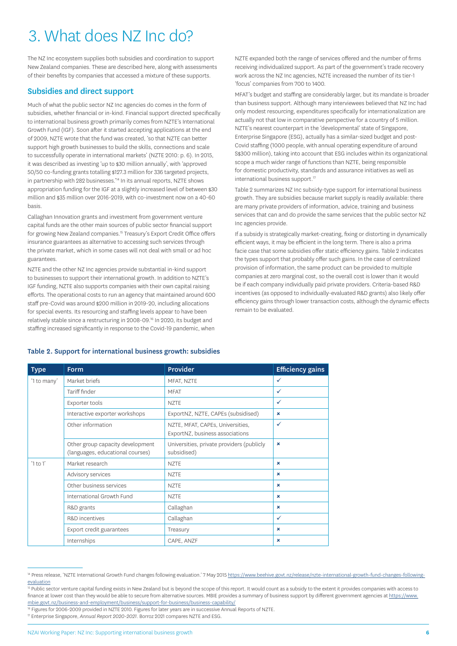# <span id="page-7-0"></span>3. What does NZ Inc do?

The NZ Inc ecosystem supplies both subsidies and coordination to support New Zealand companies. These are described here, along with assessments of their benefits by companies that accessed a mixture of these supports.

### Subsidies and direct support

Much of what the public sector NZ Inc agencies do comes in the form of subsidies, whether financial or in-kind. Financial support directed specifically to international business growth primarily comes from NZTE's International Growth Fund (IGF). Soon after it started accepting applications at the end of 2009, NZTE wrote that the fund was created, 'so that NZTE can better support high growth businesses to build the skills, connections and scale to successfully operate in international markets' (NZTE 2010: p. 6). In 2015, it was described as investing 'up to \$30 million annually', with 'approved 50/50 co-funding grants totalling \$127.3 million for 336 targeted projects, in partnership with 282 businesses.<sup>'14</sup> In its annual reports, NZTE shows appropriation funding for the IGF at a slightly increased level of between \$30 million and \$35 million over 2016-2019, with co-investment now on a 40-60 basis.

Callaghan Innovation grants and investment from government venture capital funds are the other main sources of public sector financial support for growing New Zealand companies.<sup>15</sup> Treasury's Export Credit Office offers insurance guarantees as alternative to accessing such services through the private market, which in some cases will not deal with small or ad hoc guarantees.

NZTE and the other NZ Inc agencies provide substantial in-kind support to businesses to support their international growth. In addition to NZTE's IGF funding, NZTE also supports companies with their own capital raising efforts. The operational costs to run an agency that maintained around 600 staff pre-Covid was around \$200 million in 2019-20, including allocations for special events. Its resourcing and staffing levels appear to have been relatively stable since a restructuring in 2008-09.16 In 2020, its budget and staffing increased significantly in response to the Covid-19 pandemic, when

NZTE expanded both the range of services offered and the number of firms receiving individualized support. As part of the government's trade recovery work across the NZ Inc agencies, NZTE increased the number of its tier-1 'focus' companies from 700 to 1400.

MFAT's budget and staffing are considerably larger, but its mandate is broader than business support. Although many interviewees believed that NZ Inc had only modest resourcing, expenditures specifically for internationalization are actually not that low in comparative perspective for a country of 5 million. NZTE's nearest counterpart in the 'developmental' state of Singapore, Enterprise Singapore (ESG), actually has a similar-sized budget and post-Covid staffing (1000 people, with annual operating expenditure of around S\$300 million), taking into account that ESG includes within its organizational scope a much wider range of functions than NZTE, being responsible for domestic productivity, standards and assurance initiatives as well as international business support.<sup>17</sup>

Table 2 summarizes NZ Inc subsidy-type support for international business growth. They are subsidies because market supply is readily available: there are many private providers of information, advice, training and business services that can and do provide the same services that the public sector NZ Inc agencies provide.

If a subsidy is strategically market-creating, fixing or distorting in dynamically efficient ways, it may be efficient in the long term. There is also a prima facie case that some subsidies offer static efficiency gains. Table 2 indicates the types support that probably offer such gains. In the case of centralized provision of information, the same product can be provided to multiple companies at zero marginal cost, so the overall cost is lower than it would be if each company individually paid private providers. Criteria-based R&D incentives (as opposed to individually-evaluated R&D grants) also likely offer efficiency gains through lower transaction costs, although the dynamic effects remain to be evaluated.

| <b>Type</b>  | <b>Form</b>                                                          | <b>Provider</b>                                                     | <b>Efficiency gains</b> |
|--------------|----------------------------------------------------------------------|---------------------------------------------------------------------|-------------------------|
| '1 to many'  | Market briefs                                                        | MFAT, NZTE                                                          | ✓                       |
|              | Tariff finder                                                        | <b>MFAT</b>                                                         | ✓                       |
|              | Exporter tools                                                       | <b>NZTE</b>                                                         | ✓                       |
|              | Interactive exporter workshops                                       | ExportNZ, NZTE, CAPEs (subsidised)                                  | $\mathbf x$             |
|              | Other information                                                    | NZTE, MFAT, CAPEs, Universities,<br>ExportNZ, business associations | ✓                       |
|              | Other group capacity development<br>(languages, educational courses) | Universities, private providers (publicly<br>subsidised)            | ×                       |
| $'1$ to $1'$ | Market research                                                      | <b>NZTE</b>                                                         | $\mathbf x$             |
|              | Advisory services                                                    | <b>NZTE</b>                                                         | ×                       |
|              | Other business services                                              | <b>NZTE</b>                                                         | ×                       |
|              | International Growth Fund                                            | <b>NZTE</b>                                                         | $\mathbf x$             |
|              | R&D grants                                                           | Callaghan                                                           | $\mathbf x$             |
|              | R&D incentives                                                       | Callaghan                                                           | ✓                       |
|              | Export credit guarantees                                             | Treasury                                                            | ×                       |
|              | Internships                                                          | CAPE, ANZF                                                          | ×                       |

#### Table 2. Support for international business growth: subsidies

<sup>14</sup> Press release, 'NZTE International Growth Fund changes following evaluation.' 7 May 2015 [https://www.beehive.govt.nz/release/nzte-international-growth-fund-changes-following](https://www.beehive.govt.nz/release/nzte-international-growth-fund-changes-following-evaluation)[evaluation](https://www.beehive.govt.nz/release/nzte-international-growth-fund-changes-following-evaluation)

<sup>&</sup>lt;sup>15</sup> Public sector venture capital funding exists in New Zealand but is beyond the scope of this report. It would count as a subsidy to the extent it provides companies with access to finance at lower cost than they would be able to secure from alternative sources. MBIE provides a summary of business support by different government agencies at [https://www.](https://www.mbie.govt.nz/business-and-employment/business/support-for-business/business-capability/) mbie.govt.nz/business-and-employment/business/support-for-business/business-capability/<br><sup>16</sup> Figures for 2006-2009 provided in NZTE 2010. Figures for later years are in successive Annual Reports of NZTE

<sup>17</sup> Enterprise Singapore, *Annual Report 2020-2021*. Borroz 2021 compares NZTE and ESG.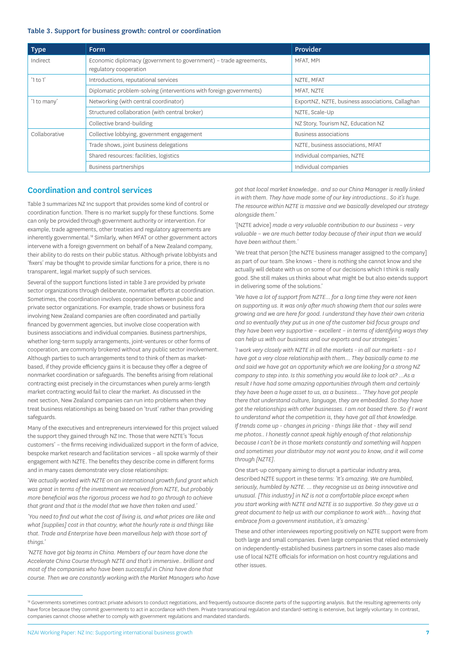#### <span id="page-8-0"></span>Table 3. Support for business growth: control or coordination

| <b>Type</b>   | <b>Form</b>                                                                                 | Provider                                         |
|---------------|---------------------------------------------------------------------------------------------|--------------------------------------------------|
| Indirect      | Economic diplomacy (government to government) - trade agreements,<br>regulatory cooperation | MFAT, MPI                                        |
| $'1$ to $1'$  | Introductions, reputational services                                                        | NZTE, MFAT                                       |
|               | Diplomatic problem-solving (interventions with foreign governments)                         | MFAT, NZTE                                       |
| '1 to many'   | Networking (with central coordinator)                                                       | ExportNZ, NZTE, business associations, Callaghan |
|               | Structured collaboration (with central broker)                                              | NZTE, Scale-Up                                   |
|               | Collective brand-building                                                                   | NZ Story, Tourism NZ, Education NZ               |
| Collaborative | Collective lobbying, government engagement                                                  | Business associations                            |
|               | Trade shows, joint business delegations                                                     | NZTE, business associations, MFAT                |
|               | Shared resources: facilities, logistics                                                     | Individual companies, NZTE                       |
|               | Business partnerships                                                                       | Individual companies                             |

### Coordination and control services

Table 3 summarizes NZ Inc support that provides some kind of control or coordination function. There is no market supply for these functions. Some can only be provided through government authority or intervention. For example, trade agreements, other treaties and regulatory agreements are inherently governmental.<sup>18</sup> Similarly, when MFAT or other government actors intervene with a foreign government on behalf of a New Zealand company, their ability to do rests on their public status. Although private lobbyists and 'fixers' may be thought to provide similar functions for a price, there is no transparent, legal market supply of such services.

Several of the support functions listed in table 3 are provided by private sector organizations through deliberate, nonmarket efforts at coordination. Sometimes, the coordination involves cooperation between public and private sector organizations. For example, trade shows or business fora involving New Zealand companies are often coordinated and partially financed by government agencies, but involve close cooperation with business associations and individual companies. Business partnerships, whether long-term supply arrangements, joint-ventures or other forms of cooperation, are commonly brokered without any public sector involvement. Although parties to such arrangements tend to think of them as marketbased, if they provide efficiency gains it is because they offer a degree of nonmarket coordination or safeguards. The benefits arising from relational contracting exist precisely in the circumstances when purely arms-length market contracting would fail to clear the market. As discussed in the next section, New Zealand companies can run into problems when they treat business relationships as being based on 'trust' rather than providing safeguards.

Many of the executives and entrepreneurs interviewed for this project valued the support they gained through NZ Inc. Those that were NZTE's 'focus customers' – the firms receiving individualized support in the form of advice, bespoke market research and facilitation services – all spoke warmly of their engagement with NZTE. The benefits they describe come in different forms and in many cases demonstrate very close relationships:

'*We actually worked with NZTE on an international growth fund grant which was great in terms of the investment we received from NZTE, but probably more beneficial was the rigorous process we had to go through to achieve that grant and that is the model that we have then taken and used.'*

*'You need to find out what the cost of living is, and what prices are like and what [supplies] cost in that country, what the hourly rate is and things like that. Trade and Enterprise have been marvellous help with those sort of things.'*

*'NZTE have got big teams in China. Members of our team have done the Accelerate China Course through NZTE and that's immersive.. brilliant and most of the companies who have been successful in China have done that course. Then we are constantly working with the Market Managers who have*  *got that local market knowledge.. and so our China Manager is really linked in with them. They have made some of our key introductions.. So it's huge. The resource within NZTE is massive and we basically developed our strategy alongside them.'*

'[NZTE advice] *made a very valuable contribution to our business – very valuable – we are much better today because of their input than we would have been without them.*'

'We treat that person [the NZTE business manager assigned to the company] as part of our team. She knows – there is nothing she cannot know and she actually will debate with us on some of our decisions which I think is really good. She still makes us thinks about what might be but also extends support in delivering some of the solutions.'

'We have a lot of support from NZTE... for a long time they were not keen *on supporting us. It was only after much showing them that our sales were growing and we are here for good. I understand they have their own criteria and so eventually they put us in one of the customer bid focus groups and they have been very supportive – excellent – in terms of identifying ways they can help us with our business and our exports and our strategies.'*

*'I work very closely with NZTE in all the markets - in all our markets - so I have got a very close relationship with them... They basically came to me and said we have got an opportunity which we are looking for a strong NZ company to step into. Is this something you would like to look at? …As a result I have had some amazing opportunities through them and certainly they have been a huge asset to us, as a business… 'They have got people there that understand culture, language, they are embedded. So they have got the relationships with other businesses. I am not based there. So if I want to understand what the competition is, they have got all that knowledge. If trends come up - changes in pricing - things like that - they will send me photos.. I honestly cannot speak highly enough of that relationship because I can't be in those markets constantly and something will happen and sometimes your distributor may not want you to know, and it will come through [NZTE].*

One start-up company aiming to disrupt a particular industry area, described NZTE support in these terms: *'It's amazing. We are humbled, seriously, humbled by NZTE. … they recognise us as being innovative and unusual. [This industry] in NZ is not a comfortable place except when you start working with NZTE and NZTE is so supportive. So they gave us a great document to help us with our compliance to work with… having that embrace from a government institution, it's amazing*.'

These and other interviewees reporting positively on NZTE support were from both large and small companies. Even large companies that relied extensively on independently-established business partners in some cases also made use of local NZTE officials for information on host country regulations and other issues.

<sup>&</sup>lt;sup>18</sup> Governments sometimes contract private advisors to conduct negotiations, and frequently outsource discrete parts of the supporting analysis. But the resulting agreements only have force because they commit governments to act in accordance with them. Private transnational regulation and standard-setting is extensive, but largely voluntary. In contrast, companies cannot choose whether to comply with government regulations and mandated standards.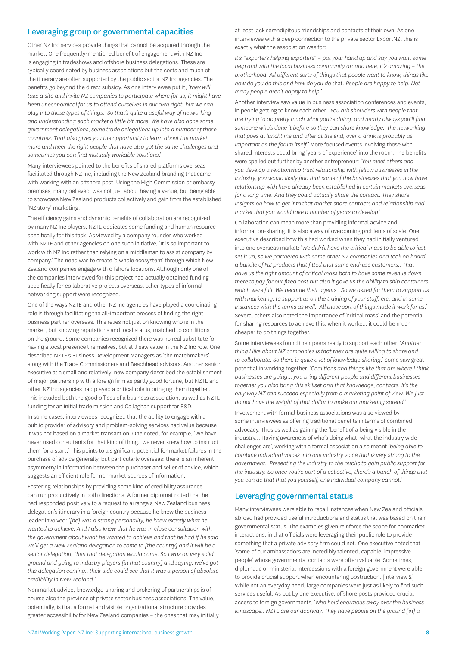#### <span id="page-9-0"></span>Leveraging group or governmental capacities

Other NZ Inc services provide things that cannot be acquired through the market. One frequently-mentioned benefit of engagement with NZ Inc is engaging in tradeshows and offshore business delegations. These are typically coordinated by business associations but the costs and much of the itinerary are often supported by the public sector NZ Inc agencies. The benefits go beyond the direct subsidy. As one interviewee put it, '*they will take a site and invite NZ companies to participate where for us, it might have been uneconomical for us to attend ourselves in our own right, but we can plug into those types of things. So that's quite a useful way of networking and understanding each market a little bit more. We have also done some government delegations, some trade delegations up into a number of those countries. That also gives you the opportunity to learn about the market more and meet the right people that have also got the same challenges and sometimes you can find mutually workable solutions*.'

Many interviewees pointed to the benefits of shared platforms overseas facilitated through NZ Inc, including the New Zealand branding that came with working with an offshore post. Using the High Commission or embassy premises, many believed, was not just about having a venue, but being able to showcase New Zealand products collectively and gain from the established 'NZ story' marketing.

The efficiency gains and dynamic benefits of collaboration are recognized by many NZ Inc players. NZTE dedicates some funding and human resource specifically for this task. As viewed by a company founder who worked with NZTE and other agencies on one such initiative, 'It is so important to work with NZ Inc rather than relying on a middleman to assist company by company.' The need was to create 'a whole ecosystem' through which New Zealand companies engage with offshore locations. Although only one of the companies interviewed for this project had actually obtained funding specifically for collaborative projects overseas, other types of informal networking support were recognized.

One of the ways NZTE and other NZ Inc agencies have played a coordinating role is through facilitating the all-important process of finding the right business partner overseas. This relies not just on knowing who is in the market, but knowing reputations and local status, matched to conditions on the ground. Some companies recognized there was no real substitute for having a local presence themselves, but still saw value in the NZ Inc role. One described NZTE's Business Development Managers as 'the matchmakers' along with the Trade Commissioners and Beachhead advisors. Another senior executive at a small and relatively new company described the establishment of major partnership with a foreign firm as partly good fortune, but NZTE and other NZ Inc agencies had played a critical role in bringing them together. This included both the good offices of a business association, as well as NZTE funding for an initial trade mission and Callaghan support for R&D.

In some cases, interviewees recognized that the ability to engage with a public provider of advisory and problem-solving services had value because it was not based on a market transaction. One noted, for example, 'We have never used consultants for that kind of thing.. we never knew how to instruct them for a start.' This points to a significant potential for market failures in the purchase of advice generally, but particularly overseas: there is an inherent asymmetry in information between the purchaser and seller of advice, which suggests an efficient role for nonmarket sources of information.

Fostering relationships by providing some kind of credibility assurance can run productively in both directions. A former diplomat noted that he had responded positively to a request to arrange a New Zealand business delegation's itinerary in a foreign country because he knew the business leader involved: *'[he] was a strong personality, he knew exactly what he wanted to achieve. And I also knew that he was in close consultation with the government about what he wanted to achieve and that he had if he said we'll get a New Zealand delegation to come to [the country] and it will be a senior delegation, then that delegation would come. So I was on very solid ground and going to industry players [in that country] and saying, we've got this delegation coming.. their side could see that it was a person of absolute credibility in New Zealand.'*

Nonmarket advice, knowledge-sharing and brokering of partnerships is of course also the province of private sector business associations. The value, potentially, is that a formal and visible organizational structure provides greater accessibility for New Zealand companies – the ones that may initially at least lack serendipitous friendships and contacts of their own. As one interviewee with a deep connection to the private sector ExportNZ, this is exactly what the association was for:

*It's "exporters helping exporters" – put your hand up and say you want some help and with the local business community around here, it's amazing – the brotherhood. All different sorts of things that people want to know, things like how do you do this and how do you do* that. *People are happy to help. Not many people aren't happy to help.'*

Another interview saw value in business association conferences and events, in people getting to know each other. *'You rub shoulders with people that are trying to do pretty much what you're doing, and nearly always you'll find someone who's done it before so they can share knowledge.. the networking that goes at lunchtime and after at the end, over a drink is probably as important as the forum itself.'* More focused events involving those with shared interests could bring 'years of experience' into the room. The benefits were spelled out further by another entrepreneur: '*You meet others and you develop a relationship trust relationship with fellow businesses in the industry, you would likely find that some of the businesses that you now have relationship with have already been established in certain markets overseas for a long time. And they could actually share the contact. They share insights on how to get into that market share contacts and relationship and market that you would take a number of years to develop*.'

Collaboration can mean more than providing informal advice and information-sharing. It is also a way of overcoming problems of scale. One executive described how this had worked when they had initially ventured into one overseas market: '*We didn't have the critical mass to be able to just set it up, so we partnered with some other NZ companies and took on board a bundle of NZ products that fitted that same end-use customers.. That gave us the right amount of critical mass both to have some revenue down there to pay for our fixed cost but also it gave us the ability to ship containers which were full. We became their agents.. So we asked for them to support us with marketing, to support us on the training of your staff, etc. and in some instances with the terms as well. All those sort of things made it work for us*.' Several others also noted the importance of 'critical mass' and the potential for sharing resources to achieve this: when it worked, it could be much cheaper to do things together.

Some interviewees found their peers ready to support each other. '*Another thing I like about NZ companies is that they are quite willing to share and to collaborate. So there is quite a lot of knowledge sharing*.' Some saw great potential in working together. *'Coalitions and things like that are where I think businesses are going… you bring different people and different businesses together you also bring this skillset and that knowledge, contacts. It's the only way NZ can succeed especially from a marketing point of view. We just do not have the weight of that dollar to make our marketing spread.'* 

Involvement with formal business associations was also viewed by some interviewees as offering traditional benefits in terms of combined advocacy. Thus as well as gaining the 'benefit of a being visible in the industry… Having awareness of who's doing what, what the industry wide challenges are', working with a formal association also meant '*being able to combine individual voices into one industry voice that is very strong to the government.. Presenting the industry to the public to gain public support for the industry. So once you're part of a collective, there's a bunch of things that you can do that that you yourself, one individual company cannot*.'

#### Leveraging governmental status

Many interviewees were able to recall instances when New Zealand officials abroad had provided useful introductions and status that was based on their governmental status. The examples given reinforce the scope for nonmarket interactions, in that officials were leveraging their public role to provide something that a private advisory firm could not. One executive noted that 'some of our ambassadors are incredibly talented, capable, impressive people' whose governmental contacts were often valuable. Sometimes, diplomatic or ministerial intercessions with a foreign government were able to provide crucial support when encountering obstruction. [interview 2] While not an everyday need, large companies were just as likely to find such services useful. As put by one executive, offshore posts provided crucial access to foreign governments, '*who hold enormous sway over the business landscape.. NZTE are our doorway. They have people on the ground [in] a*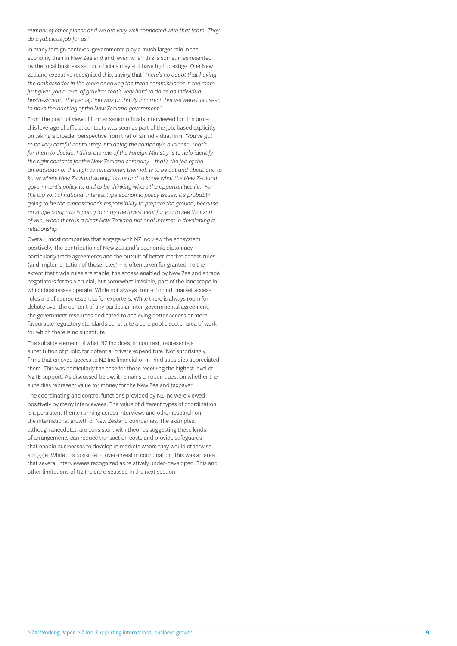*number of other places and we are very well connected with that team. They do a fabulous job for us.*'

In many foreign contexts, governments play a much larger role in the economy than in New Zealand and, even when this is sometimes resented by the local business sector, officials may still have high prestige. One New Zealand executive recognized this, saying that '*There's no doubt that having the ambassador in the room or having the trade commissioner in the room just gives you a level of gravitas that's very hard to do as an individual businessman.. the perception was probably incorrect, but we were then seen to have the backing of the New Zealand government.*'

From the point of view of former senior officials interviewed for this project, this leverage of official contacts was seen as part of the job, based explicitly on taking a broader perspective from that of an individual firm: *'You've got to be very careful not to stray into doing the company's business. That's for them to decide. I think the role of the Foreign Ministry is to help identify the right contacts for the New Zealand company.. that's the job of the ambassador or the high commissioner, their job is to be out and about and to know where New Zealand strengths are and to know what the New Zealand government's policy is, and to be thinking where the opportunities lie.. For the big sort of national interest type economic policy issues, it's probably going to be the ambassador's responsibility to prepare the ground, because no single company is going to carry the investment for you to see that sort of win, when there is a clear New Zealand national interest in developing a relationship.'*

Overall, most companies that engage with NZ Inc view the ecosystem positively. The contribution of New Zealand's economic diplomacy – particularly trade agreements and the pursuit of better market access rules (and implementation of those rules) – is often taken for granted. To the extent that trade rules are stable, the access enabled by New Zealand's trade negotiators forms a crucial, but somewhat invisible, part of the landscape in which businesses operate. While not always front-of-mind, market access rules are of course essential for exporters. While there is always room for debate over the content of any particular inter-governmental agreement, the government resources dedicated to achieving better access or more favourable regulatory standards constitute a core public sector area of work for which there is no substitute.

The subsidy element of what NZ Inc does, in contrast, represents a substitution of public for potential private expenditure. Not surprisingly, firms that enjoyed access to NZ Inc financial or in-kind subsidies appreciated them. This was particularly the case for those receiving the highest level of NZTE support. As discussed below, it remains an open question whether the subsidies represent value for money for the New Zealand taxpayer.

The coordinating and control functions provided by NZ Inc were viewed positively by many interviewees. The value of different types of coordination is a persistent theme running across interviews and other research on the international growth of New Zealand companies. The examples, although anecdotal, are consistent with theories suggesting these kinds of arrangements can reduce transaction costs and provide safeguards that enable businesses to develop in markets where they would otherwise struggle. While it is possible to over-invest in coordination, this was an area that several interviewees recognized as relatively under-developed. This and other limitations of NZ Inc are discussed in the next section.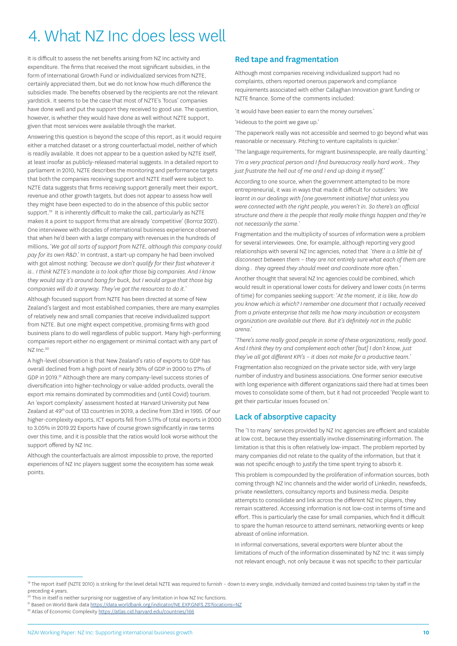# <span id="page-11-0"></span>4. What NZ Inc does less well

It is difficult to assess the net benefits arising from NZ Inc activity and expenditure. The firms that received the most significant subsidies, in the form of International Growth Fund or individualized services from NZTE, certainly appreciated them, but we do not know how much difference the subsidies made. The benefits observed by the recipients are not the relevant yardstick. It seems to be the case that most of NZTE's 'focus' companies have done well and put the support they received to good use. The question, however, is whether they would have done as well without NZTE support, given that most services were available through the market.

Answering this question is beyond the scope of this report, as it would require either a matched dataset or a strong counterfactual model, neither of which is readily available. It does not appear to be a question asked by NZTE itself, at least insofar as publicly-released material suggests. In a detailed report to parliament in 2010, NZTE describes the monitoring and performance targets that both the companies receiving support and NZTE itself were subject to. NZTE data suggests that firms receiving support generally meet their export, revenue and other growth targets, but does not appear to assess how well they might have been expected to do in the absence of this public sector support.<sup>19</sup> It is inherently difficult to make the call, particularly as NZTE makes it a point to support firms that are already 'competitive' (Borroz 2021). One interviewee with decades of international business experience observed that when he'd been with a large company with revenues in the hundreds of millions, '*We got all sorts of support from NZTE, although this company could pay for its own R&D*.' In contrast, a start-up company he had been involved with got almost nothing: '*because we don't qualify for their fast whatever it is.. I think NZTE's mandate is to look after those big companies. And I know they would say it's around bang for buck, but I would argue that those big companies will do it anyway. They've got the resources to do it.*'

Although focused support from NZTE has been directed at some of New Zealand's largest and most established companies, there are many examples of relatively new and small companies that receive individualized support from NZTE. But one might expect competitive, promising firms with good business plans to do well regardless of public support. Many high-performing companies report either no engagement or minimal contact with any part of NZ Inc.<sup>20</sup>

A high-level observation is that New Zealand's ratio of exports to GDP has overall declined from a high point of nearly 36% of GDP in 2000 to 27% of GDP in 2019.<sup>21</sup> Although there are many company-level success stories of diversification into higher-technology or value-added products, overall the export mix remains dominated by commodities and (until Covid) tourism. An 'export complexity' assessment hosted at Harvard University put New Zealand at 49th out of 133 countries in 2019, a decline from 33rd in 1995. Of our higher-complexity exports, ICT exports fell from 5.11% of total exports in 2000 to 3.05% in 2019.22 Exports have of course grown significantly in raw terms over this time, and it is possible that the ratios would look worse without the support offered by NZ Inc.

Although the counterfactuals are almost impossible to prove, the reported experiences of NZ Inc players suggest some the ecosystem has some weak points.

### Red tape and fragmentation

Although most companies receiving individualized support had no complaints, others reported onerous paperwork and compliance requirements associated with either Callaghan Innovation grant funding or NZTE finance. Some of the comments included:

'It would have been easier to earn the money ourselves.'

'Hideous to the point we gave up.'

'The paperwork really was not accessible and seemed to go beyond what was reasonable or necessary. Pitching to venture capitalists is quicker.'

'The language requirements, for migrant businesspeople, are really daunting.'

*'I'm a very practical person and I find bureaucracy really hard work.. They just frustrate the hell out of me and I end up doing it myself.'*

According to one source, when the government attempted to be more entrepreneurial, it was in ways that made it difficult for outsiders: '*We learnt in our dealings with [one government initiative] that unless you were connected with the right people, you weren't in. So there's an official structure and there is the people that really make things happen and they're not necessarily the same.*'

Fragmentation and the multiplicity of sources of information were a problem for several interviewees. One, for example, although reporting very good relationships with several NZ Inc agencies, noted that '*there is a little bit of disconnect between them – they are not entirely sure what each of them are doing.. they agreed they should meet and coordinate more often.'* 

Another thought that several NZ Inc agencies could be combined, which would result in operational lower costs for delivery and lower costs (in terms of time) for companies seeking support: '*At the moment, it is like, how do you know which is which? I remember one document that I actually received from a private enterprise that tells me how many incubation or ecosystem organization are available out there. But it's definitely not in the public arena*.'

*'There's some really good people in some of these organizations, really good. And I think they try and complement each other [but] I don't know, just they've all got different KPI's – it does not make for a productive team.'*

Fragmentation also recognized on the private sector side, with very large number of industry and business associations. One former senior executive with long experience with different organizations said there had at times been moves to consolidate some of them, but it had not proceeded 'People want to get their particular issues focused on.'

### Lack of absorptive capacity

The '1 to many' services provided by NZ Inc agencies are efficient and scalable at low cost, because they essentially involve disseminating information. The limitation is that this is often relatively low-impact. The problem reported by many companies did not relate to the quality of the information, but that it was not specific enough to justify the time spent trying to absorb it.

This problem is compounded by the proliferation of information sources, both coming through NZ Inc channels and the wider world of LinkedIn, newsfeeds, private newsletters, consultancy reports and business media. Despite attempts to consolidate and link across the different NZ Inc players, they remain scattered. Accessing information is not low-cost in terms of time and effort. This is particularly the case for small companies, which find it difficult to spare the human resource to attend seminars, networking events or keep abreast of online information.

In informal conversations, several exporters were blunter about the limitations of much of the information disseminated by NZ Inc: it was simply not relevant enough, not only because it was not specific to their particular

<sup>19</sup> The report itself (NZTE 2010) is striking for the level detail NZTE was required to furnish - down to every single, individually itemized and costed business trip taken by staff in the preceding 4 years.

<sup>&</sup>lt;sup>20</sup> This in itself is neither surprising nor suggestive of any limitation in how NZ Inc functions.

<sup>&</sup>lt;sup>21</sup> Based on World Bank data <https://data.worldbank.org/indicator/NE.EXP.GNFS.ZS?locations=NZ>

<sup>&</sup>lt;sup>22</sup> Atlas of Economic Complexity<https://atlas.cid.harvard.edu/countries/166>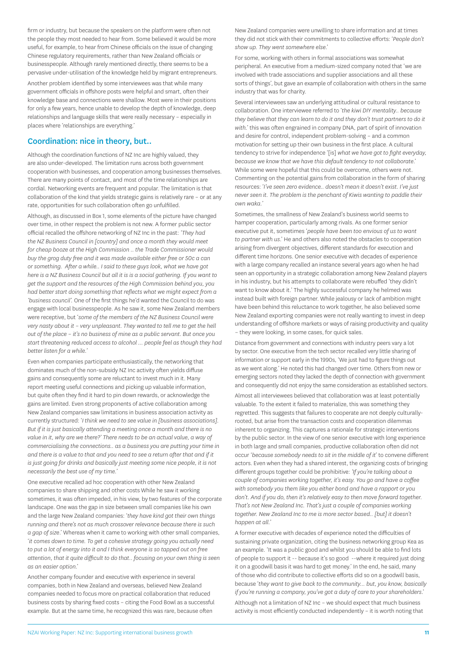<span id="page-12-0"></span>firm or industry, but because the speakers on the platform were often not the people they most needed to hear from. Some believed it would be more useful, for example, to hear from Chinese officials on the issue of changing Chinese regulatory requirements, rather than New Zealand officials or businesspeople. Although rarely mentioned directly, there seems to be a pervasive under-utilisation of the knowledge held by migrant entrepreneurs.

Another problem identified by some interviewees was that while many government officials in offshore posts were helpful and smart, often their knowledge base and connections were shallow. Most were in their positions for only a few years, hence unable to develop the depth of knowledge, deep relationships and language skills that were really necessary – especially in places where 'relationships are everything.'

### Coordination: nice in theory, but..

Although the coordination functions of NZ Inc are highly valued, they are also under-developed. The limitation runs across both government cooperation with businesses, and cooperation among businesses themselves. There are many points of contact, and most of the time relationships are cordial. Networking events are frequent and popular. The limitation is that collaboration of the kind that yields strategic gains is relatively rare – or at any rate, opportunities for such collaboration often go unfulfilled.

Although, as discussed in Box 1, some elements of the picture have changed over time, in other respect the problem is not new. A former public sector official recalled the offshore networking of NZ Inc in the past: *'They had the NZ Business Council in [country] and once a month they would meet for cheap booze at the High Commission .. the Trade Commissioner would buy the grog duty free and it was made available either free or 50c a can or something. After a while.. I said to these guys look, what we have got here is a NZ Business Council but all it is is a social gathering. If you want to get the support and the resources of the High Commission behind you, you had better start doing something that reflects what we might expect from a 'business council'.* One of the first things he'd wanted the Council to do was engage with local businesspeople. As he saw it, some New Zealand members were receptive, but '*some of the members of the NZ Business Council were very nasty about it – very unpleasant. They wanted to tell me to get the hell out of the place – it's no business of mine as a public servant. But once you start threatening reduced access to alcohol … people feel as though they had better listen for a while.'*

Even when companies participate enthusiastically, the networking that dominates much of the non-subsidy NZ Inc activity often yields diffuse gains and consequently some are reluctant to invest much in it. Many report meeting useful connections and picking up valuable information, but quite often they find it hard to pin down rewards, or acknowledge the gains are limited. Even strong proponents of active collaboration among New Zealand companies saw limitations in business association activity as currently structured: '*I think we need to see value in [business associations]. But if it is just basically attending a meeting once a month and there is no value in it, why are we there?' There needs to be an actual value, a way of commercialising the connections.. as a business you are putting your time in and there is a value to that and you need to see a return after that and if it is just going for drinks and basically just meeting some nice people, it is not necessarily the best use of my time.'*

One executive recalled ad hoc cooperation with other New Zealand companies to share shipping and other costs While he saw it working sometimes, it was often impeded, in his view, by two features of the corporate landscape. One was the gap in size between small companies like his own and the large New Zealand companies: '*they have kind got their own things running and there's not as much crossover relevance because there is such a gap of size*.' Whereas when it came to working with other small companies, '*it comes down to time. To get a cohesive strategy going you actually need to put a lot of energy into it and I think everyone is so tapped out on free attention, that it quite difficult to do that.. focusing on your own thing is seen as an easier option*.'

Another company founder and executive with experience in several companies, both in New Zealand and overseas, believed New Zealand companies needed to focus more on practical collaboration that reduced business costs by sharing fixed costs – citing the Food Bowl as a successful example. But at the same time, he recognized this was rare, because often

New Zealand companies were unwilling to share information and at times they did not stick with their commitments to collective efforts: '*People don't show up. They went somewhere else*.'

For some, working with others in formal associations was somewhat peripheral. An executive from a medium-sized company noted that 'we are involved with trade associations and supplier associations and all these sorts of things', but gave an example of collaboration with others in the same industry that was for charity.

Several interviewees saw an underlying attitudinal or cultural resistance to collaboration. One interviewee referred to '*the kiwi DIY mentality.. because they believe that they can learn to do it and they don't trust partners to do it with*.' this was often engrained in company DNA, part of spirit of innovation and desire for control, independent problem-solving – and a common motivation for setting up their own business in the first place. A cultural tendency to strive for independence '[is] *what we have got to fight everyday, because we know that we have this default tendency to not collaborate*.' While some were hopeful that this could be overcome, others were not. Commenting on the potential gains from collaboration in the form of sharing resources: '*I've seen zero evidence.. doesn't mean it doesn't exist. I've just never seen it. The problem is the penchant of Kiwis wanting to paddle their own waka.*'

Sometimes, the smallness of New Zealand's business world seems to hamper cooperation, particularly among rivals. As one former senior executive put it, sometimes '*people have been too envious of us to want to partner with us*.' He and others also noted the obstacles to cooperation arising from divergent objectives, different standards for execution and different time horizons. One senior executive with decades of experience with a large company recalled an instance several years ago when he had seen an opportunity in a strategic collaboration among New Zealand players in his industry, but his attempts to collaborate were rebuffed 'they didn't want to know about it.' The highly successful company he helmed was instead built with foreign partner. While jealousy or lack of ambition might have been behind this reluctance to work together, he also believed some New Zealand exporting companies were not really wanting to invest in deep understanding of offshore markets or ways of raising productivity and quality – they were looking, in some cases, for quick sales.

Distance from government and connections with industry peers vary a lot by sector. One executive from the tech sector recalled very little sharing of information or support early in the 1990s, 'We just had to figure things out as we went along.' He noted this had changed over time. Others from new or emerging sectors noted they lacked the depth of connection with government and consequently did not enjoy the same consideration as established sectors.

Almost all interviewees believed that collaboration was at least potentially valuable. To the extent it failed to materialize, this was something they regretted. This suggests that failures to cooperate are not deeply culturallyrooted, but arise from the transaction costs and cooperation dilemmas inherent to organizing. This captures a rationale for strategic interventions by the public sector. In the view of one senior executive with long experience in both large and small companies, productive collaboration often did not occur '*because somebody needs to sit in the middle of it*' to convene different actors. Even when they had a shared interest, the organizing costs of bringing different groups together could be prohibitive: *'If you're talking about a couple of companies working together, it's easy. You go and have a coffee with somebody you them like you either bond and have a rapport or you don't. And if you do, then it's relatively easy to then move forward together. That's not New Zealand Inc. That's just a couple of companies working together. New Zealand Inc to me is more sector based.. [but] it doesn't happen at all.'*

A former executive with decades of experience noted the difficulties of sustaining private organization, citing the business networking group Kea as an example. 'It was a public good and whilst you should be able to find lots of people to support it -- because it's so good --where it required just doing it on a goodwill basis it was hard to get money.' In the end, he said, many of those who did contribute to collective efforts did so on a goodwill basis, because '*they want to give back to the community… but, you know, basically if you're running a company, you've got a duty of care to your shareholders*.' Although not a limitation of NZ Inc – we should expect that much business activity is most efficiently conducted independently – it is worth noting that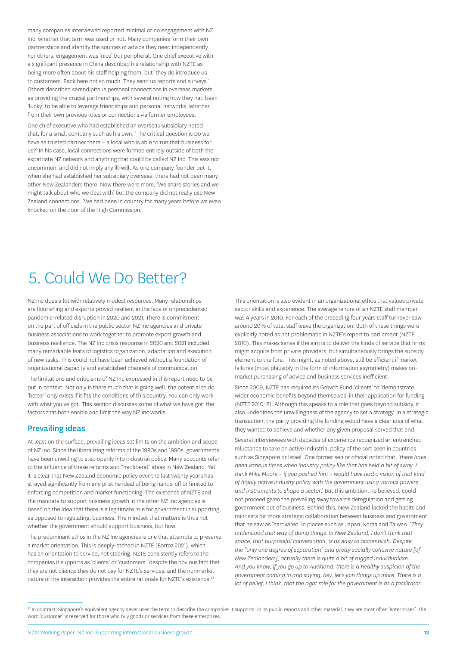<span id="page-13-0"></span>many companies interviewed reported minimal or no engagement with NZ Inc, whether that term was used or not. Many companies form their own partnerships and identify the sources of advice they need independently. For others, engagement was 'nice' but peripheral. One chief executive with a significant presence in China described his relationship with NZTE as being more often about his staff helping them, but 'they do introduce us to customers. Back here not so much. They send us reports and surveys.' Others described serendipitous personal connections in overseas markets as providing the crucial partnerships, with several noting how they had been 'lucky' to be able to leverage friendships and personal networks, whether from their own previous roles or connections via former employees.

One chief executive who had established an overseas subsidiary noted that, for a small company such as his own, 'The critical question is Do we have as trusted partner there – a local who is able to run that business for us?' In his case, local connections were formed entirely outside of both the expatriate NZ network and anything that could be called NZ Inc. This was not uncommon, and did not imply any ill-will. As one company founder put it, when she had established her subsidiary overseas, there had not been many other New Zealanders there. Now there were more, 'We share stories and we might talk about who we deal with' but the company did not really use New Zealand connections. 'We had been in country for many years before we even knocked on the door of the High Commission.'

## 5. Could We Do Better?

NZ Inc does a lot with relatively modest resources. Many relationships are flourishing and exports proved resilient in the face of unprecedented pandemic-related disruption in 2020 and 2021. There is commitment on the part of officials in the public sector NZ Inc agencies and private business associations to work together to promote export growth and business resilience. The NZ Inc crisis response in 2020 and 2021 included many remarkable feats of logistics organization, adaptation and execution of new tasks. This could not have been achieved without a foundation of organizational capacity and established channels of communication.

The limitations and criticisms of NZ Inc expressed in this report need to be put in context. Not only is there much that is going well, the potential to do 'better' only exists if it fits the conditions of this country. You can only work with what you've got. This section discusses some of what we have got: the factors that both enable and limit the way NZ Inc works.

#### Prevailing ideas

At least on the surface, prevailing ideas set limits on the ambition and scope of NZ Inc. Since the liberalizing reforms of the 1980s and 1990s, governments have been unwilling to step openly into industrial policy. Many accounts refer to the influence of these reforms and "neoliberal" ideas in New Zealand. Yet it is clear that New Zealand economic policy over the last twenty years has strayed significantly from any pristine ideal of being hands-off or limited to enforcing competition and market functioning. The existence of NZTE and the mandate to support business growth in the other NZ Inc agencies is based on the idea that there is a legitimate role for government in supporting, as opposed to regulating, business. The mindset that matters is thus not whether the government should support business, but how.

The predominant ethos in the NZ Inc agencies is one that attempts to preserve a market orientation. This is deeply-etched in NZTE (Borroz 2021), which has an orientation to service, not steering. NZTE consistently refers to the companies it supports as 'clients' or 'customers', despite the obvious fact that they are not clients: they do not pay for NZTE's services, and the nonmarket nature of the interaction provides the entire rationale for NZTE's existence.<sup>23</sup>

This orientation is also evident in an organizational ethos that values private sector skills and experience. The average tenure of an NZTE staff member was 4 years in 2010. For each of the preceding four years staff turnover saw around 20% of total staff leave the organization. Both of these things were explicitly noted as not problematic in NZTE's report to parliament (NZTE 2010). This makes sense if the aim is to deliver the kinds of service that firms might acquire from private providers, but simultaneously brings the subsidy element to the fore. This might, as noted above, still be efficient if market failures (most plausibly in the form of information asymmetry) makes onmarket purchasing of advice and business services inefficient.

Since 2009, NZTE has required its Growth Fund 'clients' to 'demonstrate wider economic benefits beyond themselves' in their application for funding (NZTE 2010: 8). Although this speaks to a role that goes beyond subsidy, it also underlines the unwillingness of the agency to set a strategy. In a strategic transaction, the party providing the funding would have a clear idea of what they wanted to achieve and whether any given proposal served that end.

Several interviewees with decades of experience recognized an entrenched reluctance to take on active industrial policy of the sort seen in countries such as Singapore or Israel. One former senior official noted that, '*there have been various times when industry policy like that has held a bit of sway. I think Mike Moore – if you pushed him – would have had a vision of that kind of highly active industry policy with the government using various powers and instruments to shape a sector*.' But this ambition, he believed, could not proceed given the prevailing sway towards deregulation and getting government out of business. Behind this, New Zealand lacked the habits and mindsets for more strategic collaboration between business and government that he saw as 'hardwired' in places such as Japan, Korea and Taiwan. '*They understood that way of doing things. In New Zealand, I don't think that space, that purposeful conversation, is as easy to accomplish. Despite the "only one degree of separation" and pretty socially cohesive nature [of New Zealanders], actually there is quite a bit of rugged individualism..*. *And you know, if you go up to Auckland, there is a healthy suspicion of the government coming in and saying, hey, let's join things up more. There is a lot of belief, I think, that the right role for the government is as a facilitator* 

<sup>&</sup>lt;sup>23</sup> In contrast, Singapore's equivalent agency never uses the term to describe the companies it supports: in its public reports and other material, they are most often 'enterprises'. The word 'customer' is reserved for those who buy goods or services from these enterprises.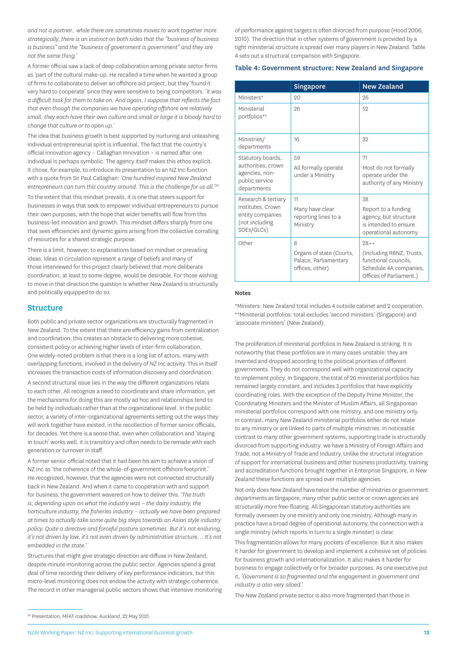<span id="page-14-0"></span>*and not a partner.. while there are sometimes moves to work together more strategically, there is an instinct on both sides that the "business of business is business" and the "business of government is government" and they are not the same thing.'* 

A former official saw a lack of deep collaboration among private sector firms as 'part of the cultural make-up. He recalled a time when he wanted a group of firms to collaborate to deliver an offshore aid project, but they 'found it very hard to cooperate' since they were sensitive to being competitors. '*It was a difficult task for them to take on. And again, I suppose that reflects the fact that even though the companies we have operating offshore are relatively small, they each have their own culture and small or large it is bloody hard to change that culture or to open up.*'

The idea that business growth is best supported by nurturing and unleashing individual entrepreneurial spirit is influential. The fact that the country's official innovation agency – Callaghan Innovation – is named after one individual is perhaps symbolic. The agency itself makes this ethos explicit. It chose, for example, to introduce its presentation to an NZ Inc function with a quote from Sir Paul Callaghan: '*One hundred inspired New Zealand*  entrepreneurs can turn this country around. This is the challenge for us all.'24

To the extent that this mindset prevails, it is one that steers support for businesses in ways that seek to empower individual entrepreneurs to pursue their own purposes, with the hope that wider benefits will flow from this business-led innovation and growth. This mindset differs sharply from one that sees efficiencies and dynamic gains arising from the collective corralling of resources for a shared strategic purpose.

There is a limit, however, to explanations based on mindset or prevailing ideas. Ideas in circulation represent a range of beliefs and many of those interviewed for this project clearly believed that more deliberate coordination, at least to some degree, would be desirable. For those wishing to move in that direction the question is whether New Zealand is structurally and politically equipped to do so.

#### **Structure**

Both public and private sector organizations are structurally fragmented in New Zealand. To the extent that there are efficiency gains from centralization and coordination, this creates an obstacle to delivering more cohesive, consistent policy or achieving higher levels of inter-firm collaboration. One widely-noted problem is that there is a long list of actors, many with overlapping functions, involved in the delivery of NZ Inc activity. This in itself increases the transaction costs of information discovery and coordination.

A second structural issue lies in the way the different organizations relate to each other. All recognize a need to coordinate and share information, yet the mechanisms for doing this are mostly ad hoc and relationships tend to be held by individuals rather than at the organizational level. In the public sector, a variety of inter-organizational agreements setting out the ways they will work together have existed, in the recollection of former senior officials, for decades. Yet there is a sense that, even when collaboration and 'staying in touch' works well, it is transitory and often needs to be remade with each generation or turnover in staff.

A former senior official noted that it had been his aim to achieve a vision of NZ Inc as 'the coherence of the whole-of-government offshore footprint.' He recognized, however, that the agencies were not connected structurally back in New Zealand. And when it came to cooperation with and support for business, the government wavered on how to deliver this. '*The truth is, depending upon on what the industry was – the dairy industry, the horticulture industry, the fisheries industry – actually we have been prepared at times to actually take some quite big steps towards an Asian style industry policy. Quite a directive and forceful posture sometimes. But it's not enduring, it's not driven by law, it's not even driven by administrative structure. .. It's not embedded in the state.'* 

Structures that might give strategic direction are diffuse in New Zealand, despite minute monitoring across the public sector. Agencies spend a great deal of time recording their delivery of key performance indicators, but this micro-level monitoring does not endow the activity with strategic coherence. The record in other managerial public sectors shows that intensive monitoring of performance against targets is often divorced from purpose (Hood 2006, 2010). The direction that in other systems of government is provided by a tight ministerial structure is spread over many players in New Zealand. Table 4 sets out a structural comparison with Singapore.

#### Table 4: Government structure: New Zealand and Singapore

|                                                                                              | <b>Singapore</b>                                                          | <b>New Zealand</b>                                                                                                |
|----------------------------------------------------------------------------------------------|---------------------------------------------------------------------------|-------------------------------------------------------------------------------------------------------------------|
| Ministers*                                                                                   | 20                                                                        | 26                                                                                                                |
| Ministerial<br>portfolios**                                                                  | 26                                                                        | 52                                                                                                                |
| Ministries/<br>departments                                                                   | 16                                                                        | 32                                                                                                                |
| Statutory boards,<br>authorities, crown<br>agencies, non-<br>public service<br>departments   | 59<br>All formally operate<br>under a Ministry                            | 71<br>Most do not formally<br>operate under the<br>authority of any Ministry                                      |
| Research & tertiary<br>institutes, Crown<br>entity companies<br>(not including<br>SOEs/GLCs) | 11<br>Many have clear<br>reporting lines to a<br>Ministry                 | 38<br>Report to a funding<br>agency, but structure<br>is intended to ensure<br>operational autonomy               |
| Other                                                                                        | 8<br>Organs of state (Courts,<br>Palace, Parliamentary<br>offices, other) | $98 + +$<br>(Including RBNZ, Trusts,<br>functional councils,<br>Schedule 4A companies,<br>Offices of Parliament.) |

#### Notes

\*Ministers: New Zealand total includes 4 outside cabinet and 2 cooperation. \*\*Ministerial portfolios: total excludes 'second ministers' (Singapore) and 'associate ministers' (New Zealand).

The proliferation of ministerial portfolios in New Zealand is striking. It is noteworthy that these portfolios are in many cases unstable: they are invented and dropped according to the political priorities of different governments. They do not correspond well with organizational capacity to implement policy. In Singapore, the total of 26 ministerial portfolios has remained largely constant, and includes 3 portfolios that have explicitly coordinating roles. With the exception of the Deputy Prime Minister, the Coordinating Ministers and the Minister of Muslim Affairs, all Singaporean ministerial portfolios correspond with one ministry, and one ministry only. In contrast, many New Zealand ministerial portfolios either do not relate to any ministry or are linked to parts of multiple ministries. In noticeable contrast to many other government systems, supporting trade is structurally divorced from supporting industry: we have a Ministry of Foreign Affairs and Trade, not a Ministry of Trade and Industry. Unlike the structural integration of support for international business and other business productivity, training and accreditation functions brought together in Enterprise Singapore, in New Zealand these functions are spread over multiple agencies.

Not only does New Zealand have twice the number of ministries or government departments as Singapore, many other public sector or crown agencies are structurally more free-floating. All Singaporean statutory authorities are formally overseen by one ministry and only one ministry. Although many in practice have a broad degree of operational autonomy, the connection with a single ministry (which reports in turn to a single minister) is clear.

This fragmentation allows for many pockets of excellence. But it also makes it harder for government to develop and implement a cohesive set of policies for business growth and internationalization. It also makes it harder for business to engage collectively or for broader purposes. As one executive put it, *'Government is so fragmented and the engagement in government and industry is also very siloed.'*

The New Zealand private sector is also more fragmented than those in

<sup>24</sup> Presentation, MFAT roadshow, Auckland, 22 May 2021.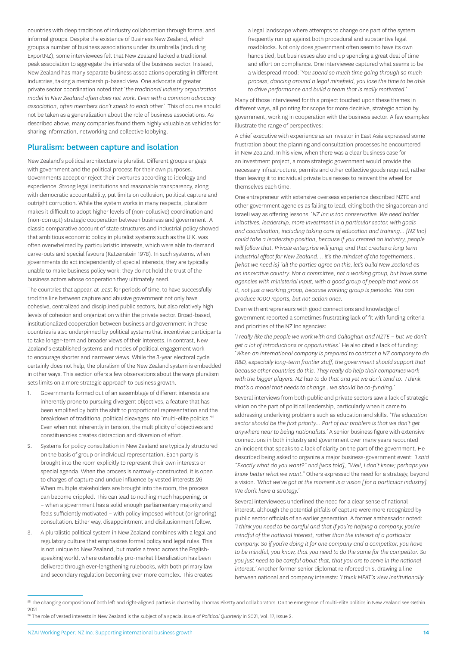<span id="page-15-0"></span>countries with deep traditions of industry collaboration through formal and informal groups. Despite the existence of Business New Zealand, which groups a number of business associations under its umbrella (including ExportNZ), some interviewees felt that New Zealand lacked a traditional peak association to aggregate the interests of the business sector. Instead, New Zealand has many separate business associations operating in different industries, taking a membership-based view. One advocate of greater private sector coordination noted that '*the traditional industry organization model in New Zealand often does not work. Even with a common advocacy association, often members don't speak to each other.'* This of course should not be taken as a generalization about the role of business associations. As described above, many companies found them highly valuable as vehicles for sharing information, networking and collective lobbying.

### Pluralism: between capture and isolation

New Zealand's political architecture is pluralist. Different groups engage with government and the political process for their own purposes. Governments accept or reject their overtures according to ideology and expedience. Strong legal institutions and reasonable transparency, along with democratic accountability, put limits on collusion, political capture and outright corruption. While the system works in many respects, pluralism makes it difficult to adopt higher levels of (non-collusive) coordination and (non-corrupt) strategic cooperation between business and government. A classic comparative account of state structures and industrial policy showed that ambitious economic policy in pluralist systems such as the U.K. was often overwhelmed by particularistic interests, which were able to demand carve-outs and special favours (Katzenstein 1978). In such systems, when governments do act independently of special interests, they are typically unable to make business policy work: they do not hold the trust of the business actors whose cooperation they ultimately need.

The countries that appear, at least for periods of time, to have successfully trod the line between capture and abusive government not only have cohesive, centralized and disciplined public sectors, but also relatively high levels of cohesion and organization within the private sector. Broad-based, institutionalized cooperation between business and government in these countries is also underpinned by political systems that incentivise participants to take longer-term and broader views of their interests. In contrast, New Zealand's established systems and modes of political engagement work to encourage shorter and narrower views. While the 3-year electoral cycle certainly does not help, the pluralism of the New Zealand system is embedded in other ways. This section offers a few observations about the ways pluralism sets limits on a more strategic approach to business growth.

- 1. Governments formed out of an assemblage of different interests are inherently prone to pursuing divergent objectives, a feature that has been amplified by both the shift to proportional representation and the breakdown of traditional political cleavages into 'multi-elite politics."<sup>25</sup> Even when not inherently in tension, the multiplicity of objectives and constituencies creates distraction and diversion of effort.
- 2. Systems for policy consultation in New Zealand are typically structured on the basis of group or individual representation. Each party is brought into the room explicitly to represent their own interests or special agenda. When the process is narrowly-constructed, it is open to charges of capture and undue influence by vested interests.26 When multiple stakeholders are brought into the room, the process can become crippled. This can lead to nothing much happening, or – when a government has a solid enough parliamentary majority and feels sufficiently motivated – with policy imposed without (or ignoring) consultation. Either way, disappointment and disillusionment follow.
- 3. A pluralistic political system in New Zealand combines with a legal and regulatory culture that emphasizes formal policy and legal rules. This is not unique to New Zealand, but marks a trend across the Englishspeaking world, where ostensibly pro-market liberalization has been delivered through ever-lengthening rulebooks, with both primary law and secondary regulation becoming ever more complex. This creates

a legal landscape where attempts to change one part of the system frequently run up against both procedural and substantive legal roadblocks. Not only does government often seem to have its own hands tied, but businesses also end up spending a great deal of time and effort on compliance. One interviewee captured what seems to be a widespread mood: '*You spend so much time going through so much process, dancing around a legal minefield, you lose the time to be able to drive performance and build a team that is really motivated.'*

Many of those interviewed for this project touched upon these themes in different ways, all pointing for scope for more decisive, strategic action by government, working in cooperation with the business sector. A few examples illustrate the range of perspectives:

A chief executive with experience as an investor in East Asia expressed some frustration about the planning and consultation processes he encountered in New Zealand. In his view, when there was a clear business case for an investment project, a more strategic government would provide the necessary infrastructure, permits and other collective goods required, rather than leaving it to individual private businesses to reinvent the wheel for themselves each time.

One entrepreneur with extensive overseas experience described NZTE and other government agencies as failing to lead, citing both the Singaporean and Israeli way as offering lessons. '*NZ Inc is too conservative. We need bolder initiatives, leadership, more investment in a particular sector, with goals and coordination, including taking care of education and training… [NZ Inc] could take a leadership position, because if you created an industry, people will follow that. Private enterprise will jump, and that creates a long term industrial effect for New Zealand. .. it's the mindset of the togetherness.. [what we need is] 'all the parties agree on this, let's build New Zealand as an innovative country. Not a committee, not a working group, but have some agencies with ministerial input, with a good group of people that work on it, not just a working group, because working group is periodic. You can produce 1000 reports, but not action ones.*

Even with entrepreneurs with good connections and knowledge of government reported a sometimes frustrating lack of fit with funding criteria and priorities of the NZ Inc agencies:

'*I really like the people we work with and Callaghan and NZTE – but we don't get a lot of introductions or opportunities*.' He also cited a lack of funding: '*When an international company is prepared to contract a NZ company to do R&D, especially long-term frontier stuff, the government should support that because other countries do this. They really do help their companies work with the bigger players. NZ has to do that and yet we don't tend to. I think that's a model that needs to change.. we should be co-funding.'*

Several interviews from both public and private sectors saw a lack of strategic vision on the part of political leadership, particularly when it came to addressing underlying problems such as education and skills. *'The education sector should be the first priority… Part of our problem is that we don't get anywhere near to being nationalists.'* A senior business figure with extensive connections in both industry and government over many years recounted an incident that speaks to a lack of clarity on the part of the government. He described being asked to organize a major business-government event: *'I said "Exactly what do you want?" and [was told], "Well, I don't know; perhaps you know better what we want."* Others expressed the need for a strategy, beyond a vision. '*What we've got at the moment is a vision [for a particular industry]. We don't have a strategy.'*

Several interviewees underlined the need for a clear sense of national interest, although the potential pitfalls of capture were more recognized by public sector officials of an earlier generation. A former ambassador noted: *'I think you need to be careful and that if you're helping a company, you're mindful of the national interest, rather than the interest of a particular company. So if you're doing it for one company and a competitor, you have to be mindful, you know, that you need to do the same for the competitor. So you just need to be careful about that, that you are to serve in the national interest.'* Another former senior diplomat reinforced this, drawing a line between national and company interests: '*I think MFAT's view institutionally* 

<sup>&</sup>lt;sup>25</sup> The changing composition of both left and right-aligned parties is charted by Thomas Piketty and collaborators. On the emergence of multi-elite politics in New Zealand see Gethin 2021.

<sup>26</sup> The role of vested interests in New Zealand is the subject of a special issue of *Political Quarterly* in 2021, Vol. 17, Issue 2.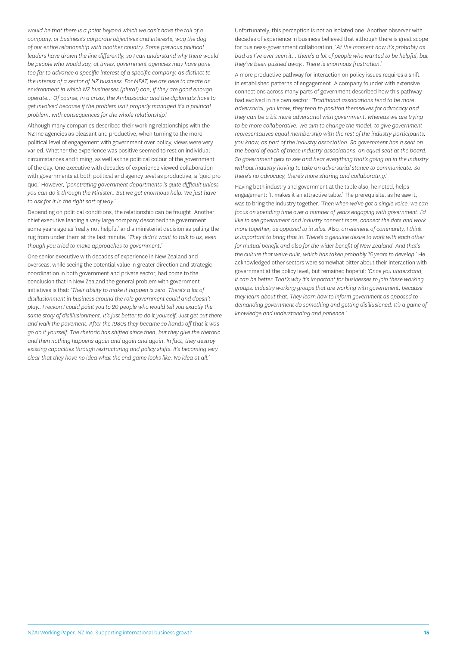*would be that there is a point beyond which we can't have the tail of a company, or business's corporate objectives and interests, wag the dog of our entire relationship with another country. Some previous political leaders have drawn the line differently, so I can understand why there would be people who would say, at times, government agencies may have gone too far to advance a specific interest of a specific company, as distinct to the interest of a sector of NZ business. For MFAT, we are here to create an environment in which NZ businesses (plural) can, if they are good enough, operate... Of course, in a crisis, the Ambassador and the diplomats have to get involved because if the problem isn't properly managed it's a political problem, with consequences for the whole relationship.'*

Although many companies described their working relationships with the NZ Inc agencies as pleasant and productive, when turning to the more political level of engagement with government over policy, views were very varied. Whether the experience was positive seemed to rest on individual circumstances and timing, as well as the political colour of the government of the day. One executive with decades of experience viewed collaboration with governments at both political and agency level as productive, a 'quid pro quo.' However, '*penetrating government departments is quite difficult unless you can do it through the Minister.. But we get enormous help. We just have to ask for it in the right sort of way.'* 

Depending on political conditions, the relationship can be fraught. Another chief executive leading a very large company described the government some years ago as 'really not helpful' and a ministerial decision as pulling the rug from under them at the last minute. *'They didn't want to talk to us, even though you tried to make approaches to government.'*

One senior executive with decades of experience in New Zealand and overseas, while seeing the potential value in greater direction and strategic coordination in both government and private sector, had come to the conclusion that in New Zealand the general problem with government initiatives is that: '*Their ability to make it happen is zero*. *There's a lot of disillusionment in business around the role government could and doesn't play.. I reckon I could point you to 20 people who would tell you exactly the same story of disillusionment. It's just better to do it yourself. Just get out there and walk the pavement. After the 1980s they became so hands off that it was go do it yourself. The rhetoric has shifted since then, but they give the rhetoric and then nothing happens again and again and again. In fact, they destroy existing capacities through restructuring and policy shifts. It's becoming very clear that they have no idea what the end game looks like. No idea at all.'*

Unfortunately, this perception is not an isolated one. Another observer with decades of experience in business believed that although there is great scope for business-government collaboration, '*At the moment now it's probably as bad as I've ever seen it… there's a lot of people who wanted to be helpful, but they've been pushed away.. There is enormous frustration*.'

A more productive pathway for interaction on policy issues requires a shift in established patterns of engagement. A company founder with extensive connections across many parts of government described how this pathway had evolved in his own sector: *'Traditional associations tend to be more adversarial, you know, they tend to position themselves for advocacy and they can be a bit more adversarial with government, whereas we are trying to be more collaborative. We aim to change the model, to give government representatives equal membership with the rest of the industry participants, you know, as part of the industry association. So government has a seat on the board of each of these industry associations, an equal seat at the board. So government gets to see and hear everything that's going on in the industry without industry having to take an adversarial stance to communicate. So there's no advocacy, there's more sharing and collaborating.'* 

Having both industry and government at the table also, he noted, helps engagement: 'It makes it an attractive table.' The prerequisite, as he saw it, was to bring the industry together. '*Then when we've got a single voice, we can focus on spending time over a number of years engaging with government. I'd like to see government and industry connect more, connect the dots and work more together, as opposed to in silos. Also, an element of community, I think is important to bring that in. There's a genuine desire to work with each other for mutual benefit and also for the wider benefit of New Zealand. And that's the culture that we've built, which has taken probably 15 years to develop*.' He acknowledged other sectors were somewhat bitter about their interaction with government at the policy level, but remained hopeful: *'Once you understand, it can be better. That's why it's important for businesses to join these working groups, industry working groups that are working with government, because they learn about that. They learn how to inform government as opposed to demanding government do something and getting disillusioned. It's a game of knowledge and understanding and patience.'*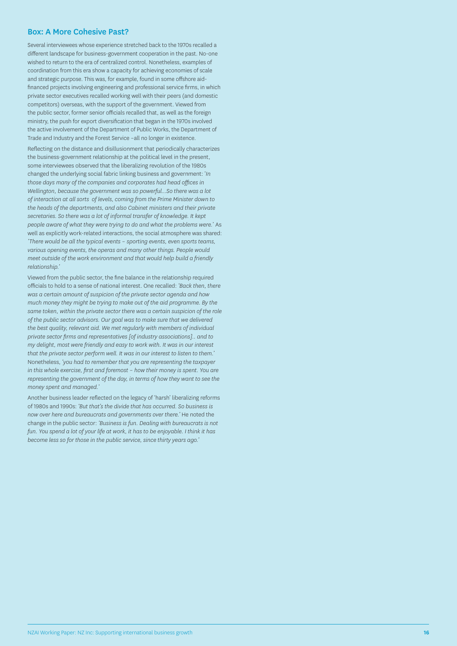#### <span id="page-17-0"></span>Box: A More Cohesive Past?

Several interviewees whose experience stretched back to the 1970s recalled a different landscape for business-government cooperation in the past. No-one wished to return to the era of centralized control. Nonetheless, examples of coordination from this era show a capacity for achieving economies of scale and strategic purpose. This was, for example, found in some offshore aidfinanced projects involving engineering and professional service firms, in which private sector executives recalled working well with their peers (and domestic competitors) overseas, with the support of the government. Viewed from the public sector, former senior officials recalled that, as well as the foreign ministry, the push for export diversification that began in the 1970s involved the active involvement of the Department of Public Works, the Department of Trade and Industry and the Forest Service –all no longer in existence.

Reflecting on the distance and disillusionment that periodically characterizes the business-government relationship at the political level in the present, some interviewees observed that the liberalizing revolution of the 1980s changed the underlying social fabric linking business and government: '*In those days many of the companies and corporates had head offices in Wellington, because the government was so powerful…So there was a lot of interaction at all sorts of levels, coming from the Prime Minister down to the heads of the departments, and also Cabinet ministers and their private secretaries. So there was a lot of informal transfer of knowledge. It kept people aware of what they were trying to do and what the problems were.*' As well as explicitly work-related interactions, the social atmosphere was shared: *'There would be all the typical events – sporting events, even sports teams, various opening events, the operas and many other things. People would meet outside of the work environment and that would help build a friendly relationship.'*

Viewed from the public sector, the fine balance in the relationship required officials to hold to a sense of national interest. One recalled: *'Back then, there was a certain amount of suspicion of the private sector agenda and how much money they might be trying to make out of the aid programme. By the same token, within the private sector there was a certain suspicion of the role of the public sector advisors. Our goal was to make sure that we delivered the best quality, relevant aid. We met regularly with members of individual private sector firms and representatives [of industry associations].. and to my delight, most were friendly and easy to work with. It was in our interest that the private sector perform well. It was in our interest to listen to them.'* Nonetheless, *'you had to remember that you are representing the taxpayer in this whole exercise, first and foremost – how their money is spent. You are representing the government of the day, in terms of how they want to see the money spent and managed.*'

Another business leader reflected on the legacy of 'harsh' liberalizing reforms of 1980s and 1990s: *'But that's the divide that has occurred. So business is now over here and bureaucrats and governments over there.'* He noted the change in the public sector: *'Business is fun. Dealing with bureaucrats is not fun. You spend a lot of your life at work, it has to be enjoyable. I think it has become less so for those in the public service, since thirty years ago.'*